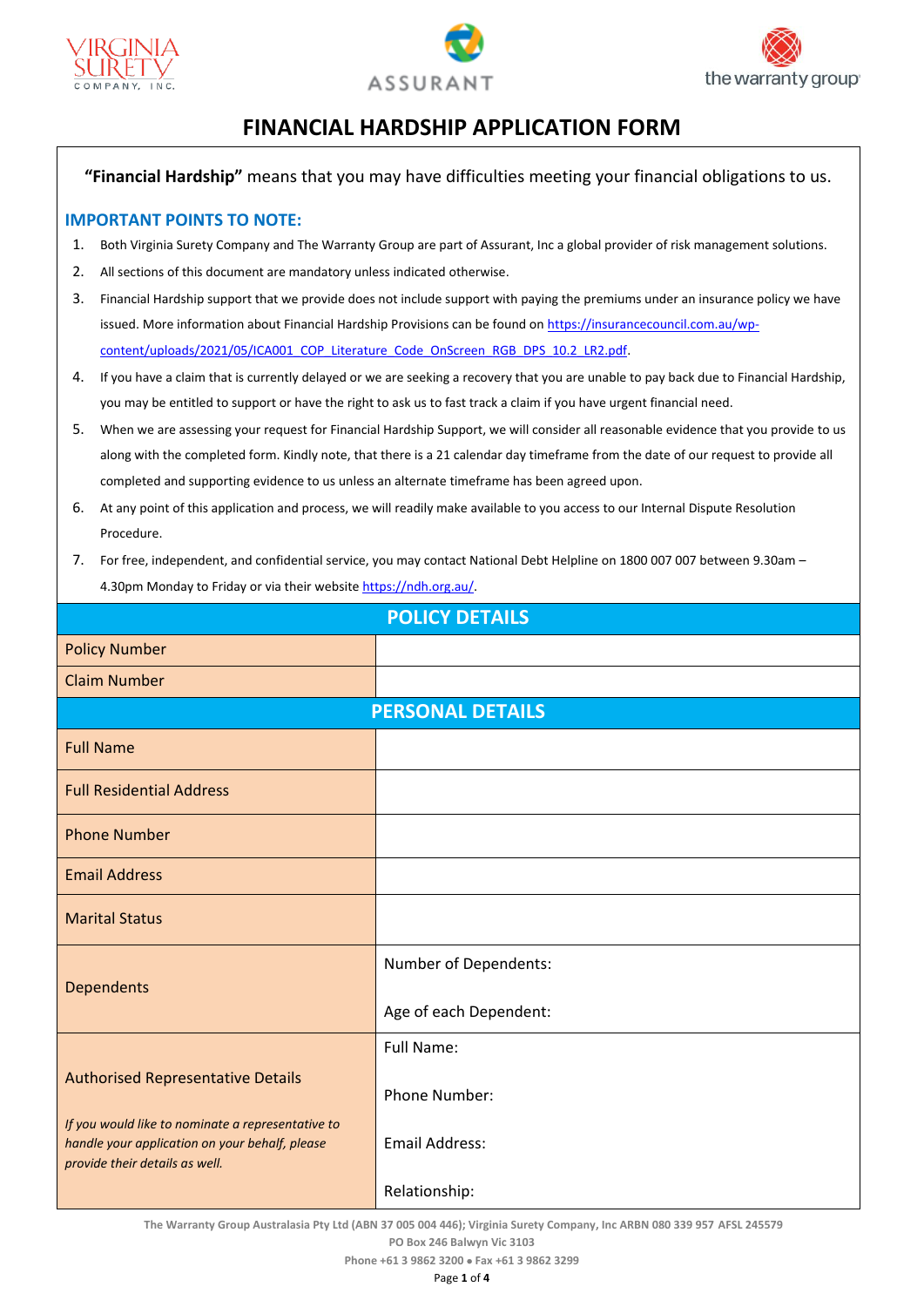





## **FINANCIAL HARDSHIP APPLICATION FORM**

**"Financial Hardship"** means that you may have difficulties meeting your financial obligations to us.

## **IMPORTANT POINTS TO NOTE:**

- 1. Both Virginia Surety Company and The Warranty Group are part of Assurant, Inc a global provider of risk management solutions.
- 2. All sections of this document are mandatory unless indicated otherwise.
- 3. Financial Hardship support that we provide does not include support with paying the premiums under an insurance policy we have issued. More information about Financial Hardship Provisions can be found on [https://insurancecouncil.com.au/wp](https://insurancecouncil.com.au/wp-content/uploads/2021/05/ICA001_COP_Literature_Code_OnScreen_RGB_DPS_10.2_LR2.pdf)[content/uploads/2021/05/ICA001\\_COP\\_Literature\\_Code\\_OnScreen\\_RGB\\_DPS\\_10.2\\_LR2.pdf.](https://insurancecouncil.com.au/wp-content/uploads/2021/05/ICA001_COP_Literature_Code_OnScreen_RGB_DPS_10.2_LR2.pdf)
- 4. If you have a claim that is currently delayed or we are seeking a recovery that you are unable to pay back due to Financial Hardship, you may be entitled to support or have the right to ask us to fast track a claim if you have urgent financial need.
- 5. When we are assessing your request for Financial Hardship Support, we will consider all reasonable evidence that you provide to us along with the completed form. Kindly note, that there is a 21 calendar day timeframe from the date of our request to provide all completed and supporting evidence to us unless an alternate timeframe has been agreed upon.
- 6. At any point of this application and process, we will readily make available to you access to our Internal Dispute Resolution Procedure.
- 7. For free, independent, and confidential service, you may contact National Debt Helpline on 1800 007 007 between 9.30am 4.30pm Monday to Friday or via their websit[e https://ndh.org.au/.](https://ndh.org.au/)

| <b>POLICY DETAILS</b>                                                                                                                 |                        |  |
|---------------------------------------------------------------------------------------------------------------------------------------|------------------------|--|
| <b>Policy Number</b>                                                                                                                  |                        |  |
| <b>Claim Number</b>                                                                                                                   |                        |  |
| <b>PERSONAL DETAILS</b>                                                                                                               |                        |  |
| <b>Full Name</b>                                                                                                                      |                        |  |
| <b>Full Residential Address</b>                                                                                                       |                        |  |
| <b>Phone Number</b>                                                                                                                   |                        |  |
| <b>Email Address</b>                                                                                                                  |                        |  |
| <b>Marital Status</b>                                                                                                                 |                        |  |
| <b>Dependents</b>                                                                                                                     | Number of Dependents:  |  |
|                                                                                                                                       | Age of each Dependent: |  |
|                                                                                                                                       | Full Name:             |  |
| <b>Authorised Representative Details</b>                                                                                              | <b>Phone Number:</b>   |  |
| If you would like to nominate a representative to<br>handle your application on your behalf, please<br>provide their details as well. | <b>Email Address:</b>  |  |
|                                                                                                                                       | Relationship:          |  |

**The Warranty Group Australasia Pty Ltd (ABN 37 005 004 446); Virginia Surety Company, Inc ARBN 080 339 957 AFSL 245579**

**PO Box 246 Balwyn Vic 3103**

**Phone +61 3 9862 3200** • **Fax +61 3 9862 3299**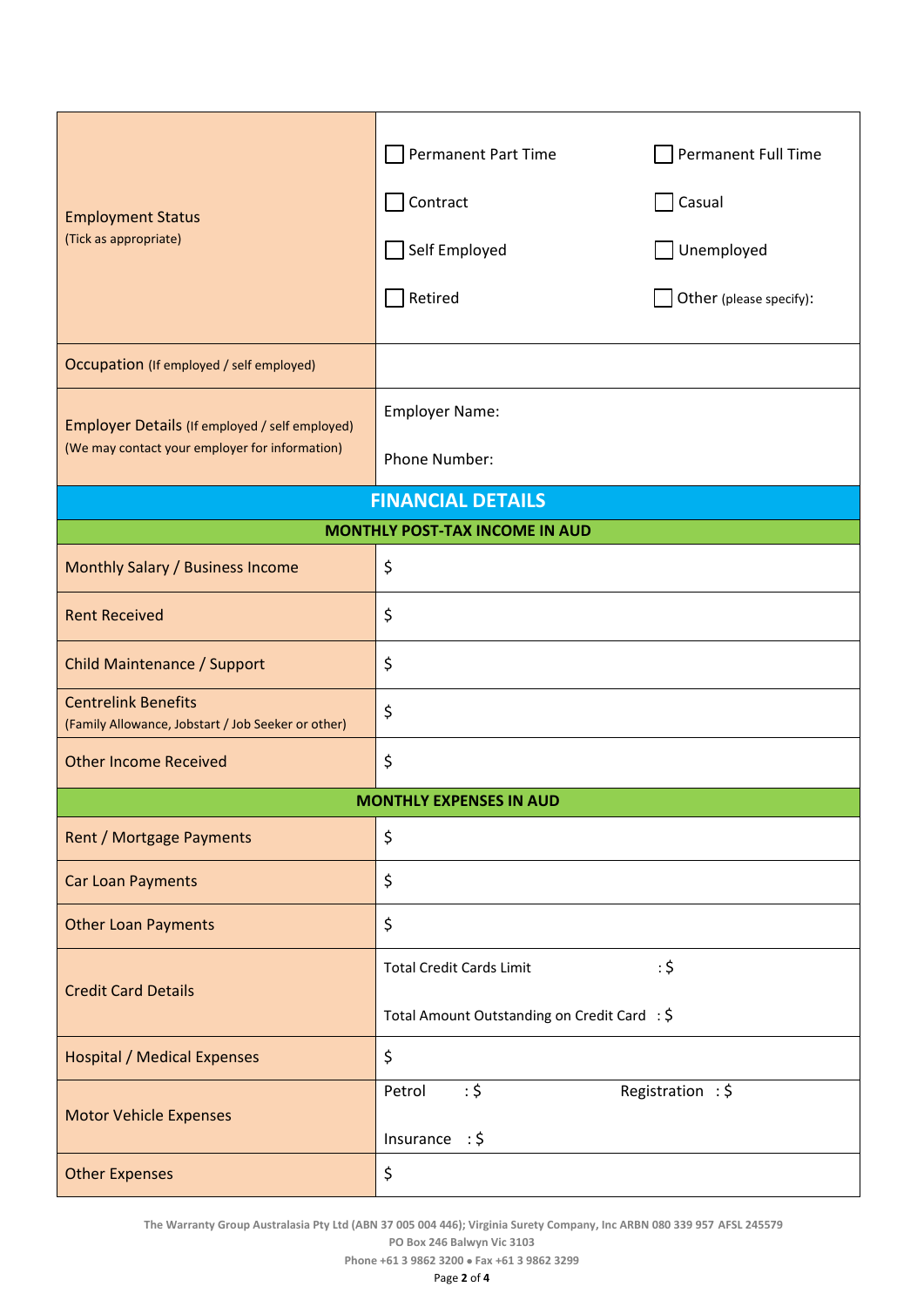| <b>Employment Status</b><br>(Tick as appropriate)                                                | <b>Permanent Part Time</b><br>Contract<br>Self Employed<br>Retired              | Permanent Full Time<br>Casual<br>Unemployed<br>Other (please specify): |
|--------------------------------------------------------------------------------------------------|---------------------------------------------------------------------------------|------------------------------------------------------------------------|
| Occupation (If employed / self employed)                                                         |                                                                                 |                                                                        |
| Employer Details (If employed / self employed)<br>(We may contact your employer for information) | <b>Employer Name:</b><br>Phone Number:                                          |                                                                        |
| <b>FINANCIAL DETAILS</b>                                                                         |                                                                                 |                                                                        |
| <b>MONTHLY POST-TAX INCOME IN AUD</b>                                                            |                                                                                 |                                                                        |
| Monthly Salary / Business Income                                                                 | \$                                                                              |                                                                        |
| <b>Rent Received</b>                                                                             | \$                                                                              |                                                                        |
| Child Maintenance / Support                                                                      | \$                                                                              |                                                                        |
| <b>Centrelink Benefits</b><br>(Family Allowance, Jobstart / Job Seeker or other)                 | \$                                                                              |                                                                        |
| <b>Other Income Received</b>                                                                     | \$                                                                              |                                                                        |
| <b>MONTHLY EXPENSES IN AUD</b>                                                                   |                                                                                 |                                                                        |
| <b>Rent / Mortgage Payments</b>                                                                  | \$                                                                              |                                                                        |
| <b>Car Loan Payments</b>                                                                         | \$                                                                              |                                                                        |
| <b>Other Loan Payments</b>                                                                       | \$                                                                              |                                                                        |
| <b>Credit Card Details</b>                                                                       | <b>Total Credit Cards Limit</b><br>Total Amount Outstanding on Credit Card : \$ | : 5                                                                    |
| <b>Hospital / Medical Expenses</b>                                                               | \$                                                                              |                                                                        |
| <b>Motor Vehicle Expenses</b>                                                                    | : 5<br>Petrol<br>Insurance : $\frac{2}{3}$                                      | Registration: \$                                                       |
| <b>Other Expenses</b>                                                                            | \$                                                                              |                                                                        |

**The Warranty Group Australasia Pty Ltd (ABN 37 005 004 446); Virginia Surety Company, Inc ARBN 080 339 957 AFSL 245579**

**PO Box 246 Balwyn Vic 3103**

**Phone +61 3 9862 3200** • **Fax +61 3 9862 3299**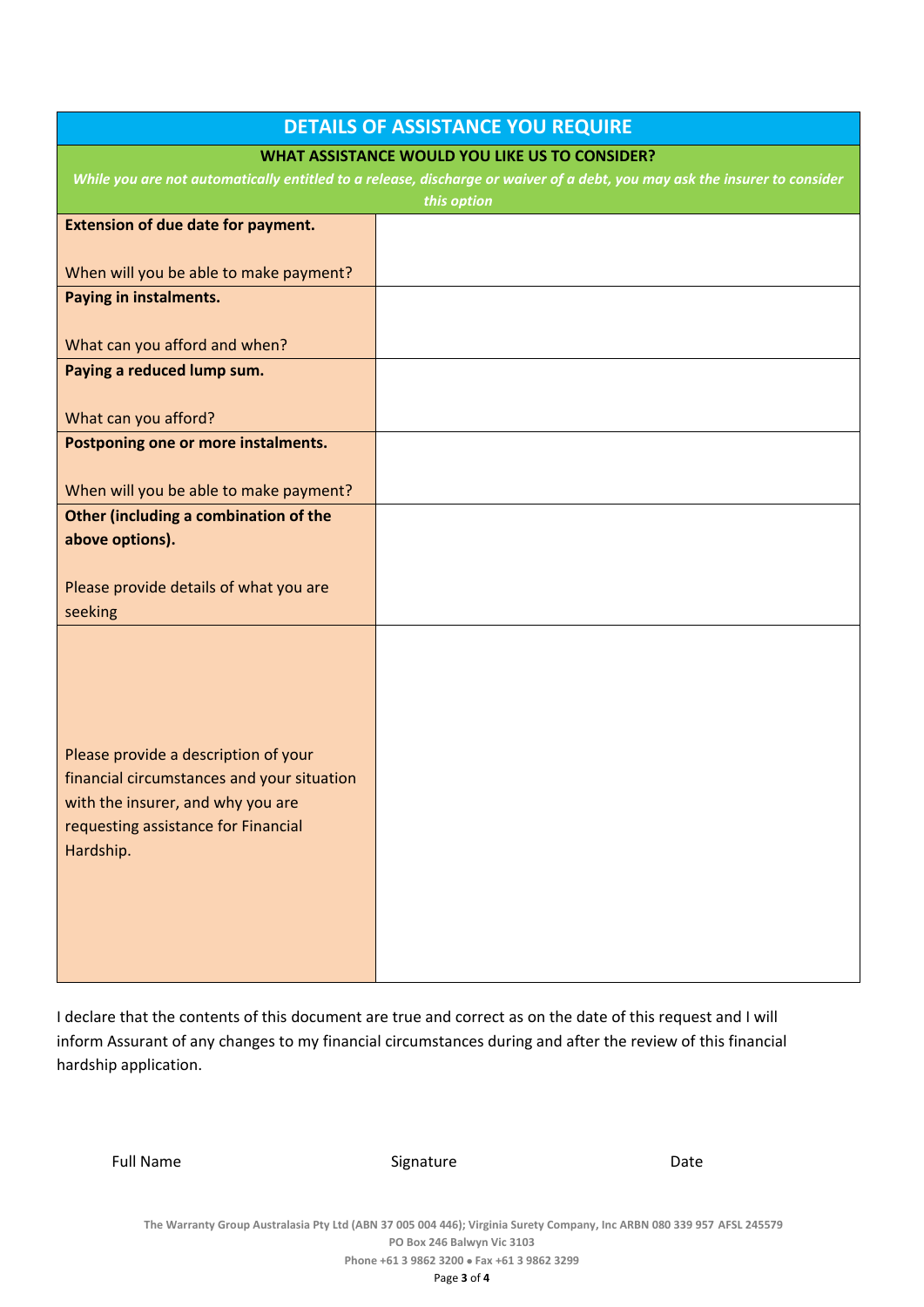| <b>DETAILS OF ASSISTANCE YOU REQUIRE</b>                                                                                  |  |  |
|---------------------------------------------------------------------------------------------------------------------------|--|--|
| <b>WHAT ASSISTANCE WOULD YOU LIKE US TO CONSIDER?</b>                                                                     |  |  |
| While you are not automatically entitled to a release, discharge or waiver of a debt, you may ask the insurer to consider |  |  |
| this option                                                                                                               |  |  |
| <b>Extension of due date for payment.</b>                                                                                 |  |  |
| When will you be able to make payment?                                                                                    |  |  |
| Paying in instalments.                                                                                                    |  |  |
|                                                                                                                           |  |  |
| What can you afford and when?                                                                                             |  |  |
| Paying a reduced lump sum.                                                                                                |  |  |
|                                                                                                                           |  |  |
| What can you afford?                                                                                                      |  |  |
| Postponing one or more instalments.                                                                                       |  |  |
|                                                                                                                           |  |  |
| When will you be able to make payment?<br>Other (including a combination of the                                           |  |  |
| above options).                                                                                                           |  |  |
|                                                                                                                           |  |  |
| Please provide details of what you are                                                                                    |  |  |
| seeking                                                                                                                   |  |  |
|                                                                                                                           |  |  |
|                                                                                                                           |  |  |
|                                                                                                                           |  |  |
|                                                                                                                           |  |  |
| Please provide a description of your                                                                                      |  |  |
| financial circumstances and your situation                                                                                |  |  |
| with the insurer, and why you are                                                                                         |  |  |
| requesting assistance for Financial                                                                                       |  |  |
| Hardship.                                                                                                                 |  |  |
|                                                                                                                           |  |  |
|                                                                                                                           |  |  |
|                                                                                                                           |  |  |
|                                                                                                                           |  |  |
|                                                                                                                           |  |  |

I declare that the contents of this document are true and correct as on the date of this request and I will inform Assurant of any changes to my financial circumstances during and after the review of this financial hardship application.

Full Name Date Communication Signature Communication Date

**The Warranty Group Australasia Pty Ltd (ABN 37 005 004 446); Virginia Surety Company, Inc ARBN 080 339 957 AFSL 245579 PO Box 246 Balwyn Vic 3103 Phone +61 3 9862 3200** • **Fax +61 3 9862 3299**